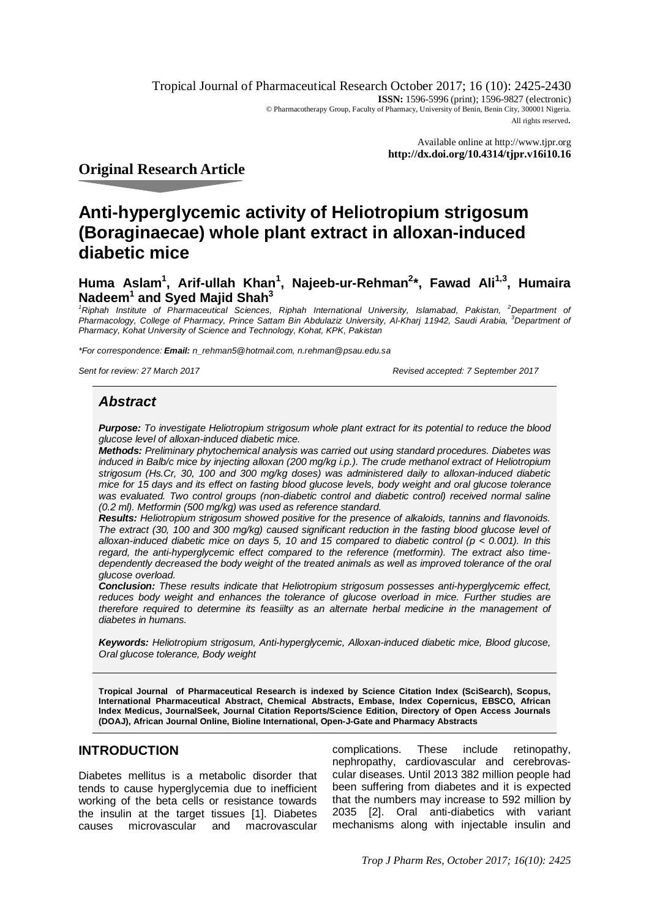Tropical Journal of Pharmaceutical Research October 2017; 16 (10): 2425-2430 **ISSN:** 1596-5996 (print); 1596-9827 (electronic) © Pharmacotherapy Group, Faculty of Pharmacy, University of Benin, Benin City, 300001 Nigeria. All rights reserved.

> Available online at <http://www.tjpr.org> **<http://dx.doi.org/10.4314/tjpr.v16i10.16>**

**Original Research Article**

# **Anti-hyperglycemic activity of Heliotropium strigosum (Boraginaecae) whole plant extract in alloxan-induced diabetic mice**

**Huma Aslam<sup>1</sup> , Arif-ullah Khan<sup>1</sup> , Najeeb-ur-Rehman<sup>2</sup> \*, Fawad Ali1,3, Humaira Nadeem<sup>1</sup> and Syed Majid Shah<sup>3</sup>**

*<sup>1</sup>Riphah Institute of Pharmaceutical Sciences, Riphah International University, Islamabad, Pakistan, <sup>2</sup>Department of Pharmacology, College of Pharmacy, Prince Sattam Bin Abdulaziz University, Al-Kharj 11942, Saudi Arabia, <sup>3</sup>Department of Pharmacy, Kohat University of Science and Technology, Kohat, KPK, Pakistan*

*\*For correspondence: Email: [n\\_rehman5@hotmail.com,](mailto:n_rehman5@hotmail.com,) [n.rehman@psau.edu.sa](mailto:n.rehman@psau.edu.sa)*

*Sent for review: 27 March 2017 Revised accepted: 7 September 2017*

# *Abstract*

*Purpose: To investigate Heliotropium strigosum whole plant extract for its potential to reduce the blood glucose level of alloxan-induced diabetic mice.*

*Methods: Preliminary phytochemical analysis was carried out using standard procedures. Diabetes was induced in Balb/c mice by injecting alloxan (200 mg/kg i.p.). The crude methanol extract of Heliotropium strigosum (Hs.Cr, 30, 100 and 300 mg/kg doses) was administered daily to alloxan-induced diabetic mice for 15 days and its effect on fasting blood glucose levels, body weight and oral glucose tolerance*  was evaluated. Two control groups (non-diabetic control and diabetic control) received normal saline *(0.2 ml). Metformin (500 mg/kg) was used as reference standard.*

*Results: Heliotropium strigosum showed positive for the presence of alkaloids, tannins and flavonoids. The extract (30, 100 and 300 mg/kg) caused significant reduction in the fasting blood glucose level of alloxan-induced diabetic mice on days 5, 10 and 15 compared to diabetic control (p < 0.001). In this regard, the anti-hyperglycemic effect compared to the reference (metformin). The extract also timedependently decreased the body weight of the treated animals as well as improved tolerance of the oral glucose overload.* 

*Conclusion: These results indicate that Heliotropium strigosum possesses anti-hyperglycemic effect,*  reduces body weight and enhances the tolerance of glucose overload in mice. Further studies are *therefore required to determine its feasiilty as an alternate herbal medicine in the management of diabetes in humans.* 

*Keywords: Heliotropium strigosum, Anti-hyperglycemic, Alloxan-induced diabetic mice, Blood glucose, Oral glucose tolerance, Body weight*

**Tropical Journal of Pharmaceutical Research is indexed by Science Citation Index (SciSearch), Scopus, International Pharmaceutical Abstract, Chemical Abstracts, Embase, Index Copernicus, EBSCO, African Index Medicus, JournalSeek, Journal Citation Reports/Science Edition, Directory of Open Access Journals (DOAJ), African Journal Online, Bioline International, Open-J-Gate and Pharmacy Abstracts**

# **INTRODUCTION**

Diabetes mellitus is a metabolic disorder that tends to cause hyperglycemia due to inefficient working of the beta cells or resistance towards the insulin at the target tissues [1]. Diabetes causes microvascular and macrovascular

complications. These include retinopathy, nephropathy, cardiovascular and cerebrovascular diseases. Until 2013 382 million people had been suffering from diabetes and it is expected that the numbers may increase to 592 million by 2035 [2]. Oral anti-diabetics with variant mechanisms along with injectable insulin and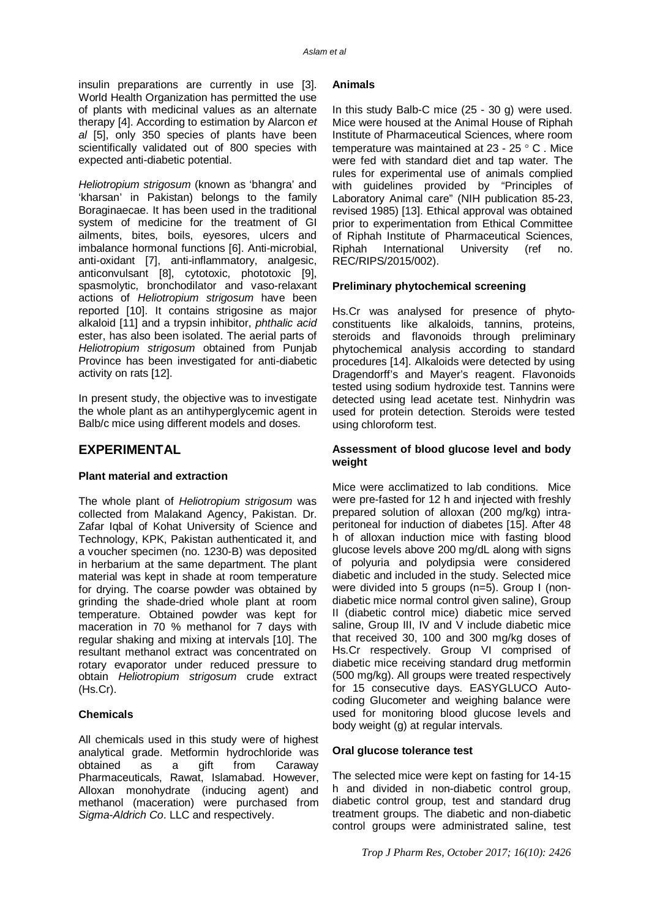insulin preparations are currently in use [3]. World Health Organization has permitted the use of plants with medicinal values as an alternate therapy [4]. According to estimation by Alarcon *et al* [5], only 350 species of plants have been scientifically validated out of 800 species with expected anti-diabetic potential.

*Heliotropium strigosum* (known as 'bhangra' and 'kharsan' in Pakistan) belongs to the family Boraginaecae. It has been used in the traditional system of medicine for the treatment of GI ailments, bites, boils, eyesores, ulcers and imbalance hormonal functions [6]. Anti-microbial, anti-oxidant [7], anti-inflammatory, analgesic, anticonvulsant [8], cytotoxic, phototoxic [9], spasmolytic, bronchodilator and vaso-relaxant actions of *Heliotropium strigosum* have been reported [10]. It contains strigosine as major alkaloid [11] and a trypsin inhibitor, *phthalic acid*  ester, has also been isolated. The aerial parts of *Heliotropium strigosum* obtained from Punjab Province has been investigated for anti-diabetic activity on rats [12].

In present study, the objective was to investigate the whole plant as an antihyperglycemic agent in Balb/c mice using different models and doses.

# **EXPERIMENTAL**

### **Plant material and extraction**

The whole plant of *Heliotropium strigosum* was collected from Malakand Agency, Pakistan. Dr. Zafar Iqbal of Kohat University of Science and Technology, KPK, Pakistan authenticated it, and a voucher specimen (no. 1230-B) was deposited in herbarium at the same department. The plant material was kept in shade at room temperature for drying. The coarse powder was obtained by grinding the shade-dried whole plant at room temperature. Obtained powder was kept for maceration in 70 % methanol for 7 days with regular shaking and mixing at intervals [10]. The resultant methanol extract was concentrated on rotary evaporator under reduced pressure to obtain *Heliotropium strigosum* crude extract (Hs.Cr).

# **Chemicals**

All chemicals used in this study were of highest analytical grade. Metformin hydrochloride was obtained as a gift from Caraway Pharmaceuticals, Rawat, Islamabad. However, Alloxan monohydrate (inducing agent) and methanol (maceration) were purchased from *Sigma*-*Aldrich Co*. LLC and respectively.

# **Animals**

In this study Balb-C mice (25 - 30 g) were used. Mice were housed at the Animal House of Riphah Institute of Pharmaceutical Sciences, where room temperature was maintained at  $23 - 25$   $\degree$  C. Mice were fed with standard diet and tap water*.* The rules for experimental use of animals complied with guidelines provided by "Principles of Laboratory Animal care" (NIH publication 85-23, revised 1985) [13]. Ethical approval was obtained prior to experimentation from Ethical Committee of Riphah Institute of Pharmaceutical Sciences, Riphah International University (ref no. REC/RIPS/2015/002).

# **Preliminary phytochemical screening**

Hs.Cr was analysed for presence of phytoconstituents like alkaloids, tannins, proteins, steroids and flavonoids through preliminary phytochemical analysis according to standard procedures [14]. Alkaloids were detected by using Dragendorff's and Mayer's reagent. Flavonoids tested using sodium hydroxide test. Tannins were detected using lead acetate test. Ninhydrin was used for protein detection. Steroids were tested using chloroform test.

# **Assessment of blood glucose level and body weight**

Mice were acclimatized to lab conditions. Mice were pre-fasted for 12 h and injected with freshly prepared solution of alloxan (200 mg/kg) intraperitoneal for induction of diabetes [15]. After 48 h of alloxan induction mice with fasting blood glucose levels above 200 mg/dL along with signs of polyuria and polydipsia were considered diabetic and included in the study. Selected mice were divided into 5 groups (n=5). Group I (nondiabetic mice normal control given saline), Group II (diabetic control mice) diabetic mice served saline, Group III, IV and V include diabetic mice that received 30, 100 and 300 mg/kg doses of Hs.Cr respectively. Group VI comprised of diabetic mice receiving standard drug metformin (500 mg/kg). All groups were treated respectively for 15 consecutive days. EASYGLUCO Autocoding Glucometer and weighing balance were used for monitoring blood glucose levels and body weight (g) at regular intervals.

### **Oral glucose tolerance test**

The selected mice were kept on fasting for 14-15 h and divided in non-diabetic control group, diabetic control group, test and standard drug treatment groups. The diabetic and non-diabetic control groups were administrated saline, test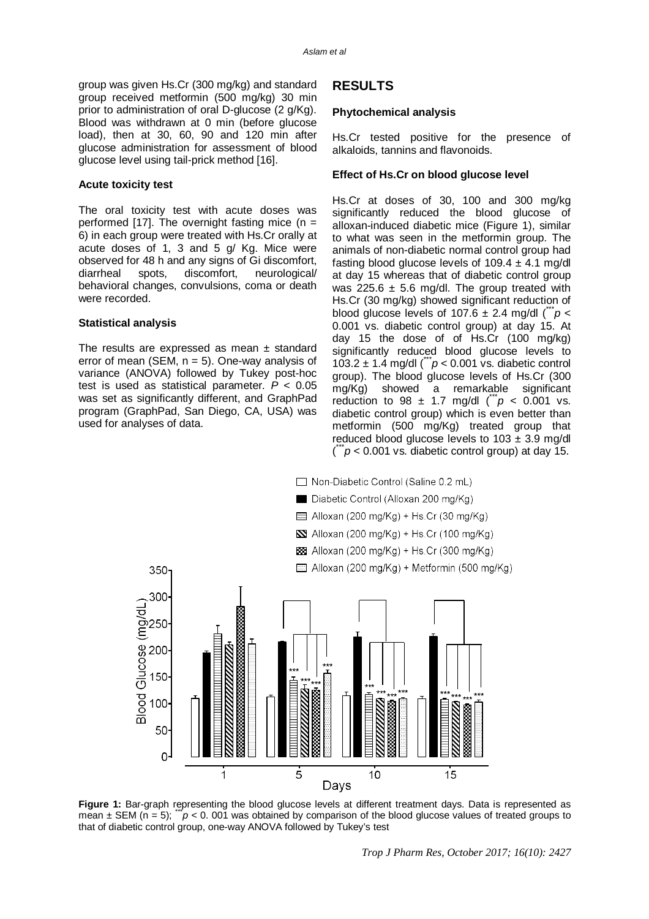group was given Hs.Cr (300 mg/kg) and standard group received metformin (500 mg/kg) 30 min prior to administration of oral D-glucose (2 g/Kg). Blood was withdrawn at 0 min (before glucose load), then at 30, 60, 90 and 120 min after glucose administration for assessment of blood glucose level using tail-prick method [16].

#### **Acute toxicity test**

The oral toxicity test with acute doses was performed [17]. The overnight fasting mice  $(n =$ 6) in each group were treated with Hs.Cr orally at acute doses of 1, 3 and 5 g/ Kg. Mice were observed for 48 h and any signs of Gi discomfort, diarrheal spots, discomfort, neurological/ behavioral changes, convulsions, coma or death were recorded.

#### **Statistical analysis**

The results are expressed as mean  $\pm$  standard error of mean (SEM,  $n = 5$ ). One-way analysis of variance (ANOVA) followed by Tukey post-hoc test is used as statistical parameter. *P* < 0.05 was set as significantly different, and GraphPad program (GraphPad, San Diego, CA, USA) was used for analyses of data.

# **RESULTS**

#### **Phytochemical analysis**

Hs.Cr tested positive for the presence of alkaloids, tannins and flavonoids.

#### **Effect of Hs.Cr on blood glucose level**

Hs.Cr at doses of 30, 100 and 300 mg/kg significantly reduced the blood glucose of alloxan-induced diabetic mice (Figure 1), similar to what was seen in the metformin group. The animals of non-diabetic normal control group had fasting blood glucose levels of  $109.4 \pm 4.1$  mg/dl at day 15 whereas that of diabetic control group was 225.6  $\pm$  5.6 mg/dl. The group treated with Hs.Cr (30 mg/kg) showed significant reduction of blood glucose levels of 107.6  $\pm$  2.4 mg/dl ( $\degree$ *p* < 0.001 vs. diabetic control group) at day 15. At day 15 the dose of of Hs.Cr (100 mg/kg) significantly reduced blood glucose levels to 103.2  $\pm$  1.4 mg/dl ( $\bar{p}$  < 0.001 vs. diabetic control group). The blood glucose levels of Hs.Cr (300 mg/Kg) showed a remarkable significant reduction to 98  $\pm$  1.7 mg/dl ( $\hat{p}$  < 0.001 vs. diabetic control group) which is even better than metformin (500 mg/Kg) treated group that reduced blood glucose levels to  $103 \pm 3.9$  mg/dl  $\dddot{r}$   $p$  < 0.001 vs. diabetic control group) at day 15.



**Figure 1:** Bar-graph representing the blood glucose levels at different treatment days. Data is represented as mean ± SEM (n = 5); " $p$  < 0. 001 was obtained by comparison of the blood glucose values of treated groups to that of diabetic control group, one-way ANOVA followed by Tukey's test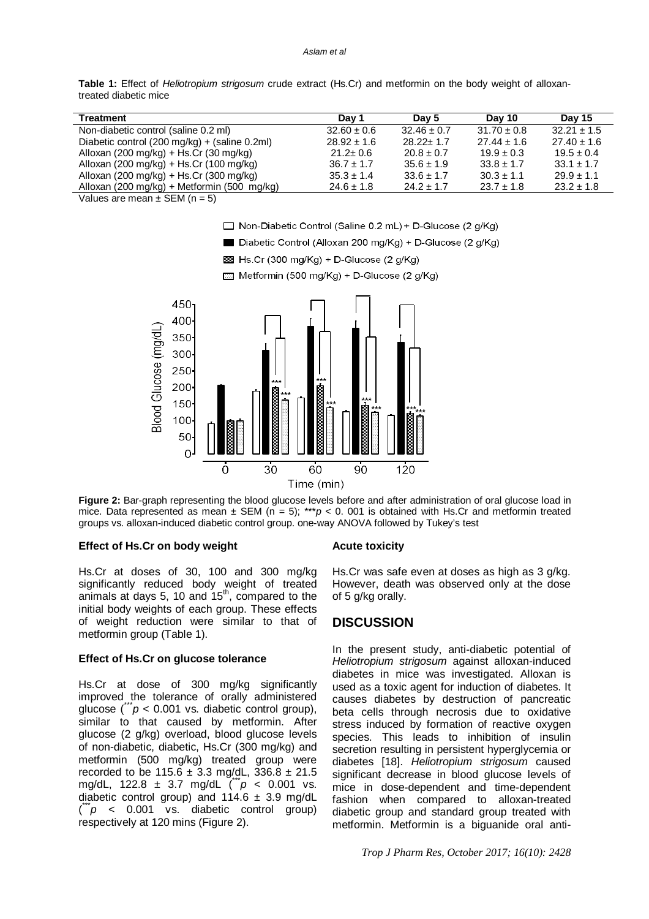#### *Aslam et al*

**Table 1:** Effect of *Heliotropium strigosum* crude extract (Hs.Cr) and metformin on the body weight of alloxantreated diabetic mice

| Treatment                                                                                                                                                                                                                                                                                        | Day 1           | Day 5           | Dav 10          | Day 15          |
|--------------------------------------------------------------------------------------------------------------------------------------------------------------------------------------------------------------------------------------------------------------------------------------------------|-----------------|-----------------|-----------------|-----------------|
| Non-diabetic control (saline 0.2 ml)                                                                                                                                                                                                                                                             | $32.60 \pm 0.6$ | $32.46 \pm 0.7$ | $31.70 \pm 0.8$ | $32.21 \pm 1.5$ |
| Diabetic control (200 mg/kg) + (saline 0.2ml)                                                                                                                                                                                                                                                    | $28.92 \pm 1.6$ | $28.22 \pm 1.7$ | $27.44 \pm 1.6$ | $27.40 \pm 1.6$ |
| Alloxan (200 mg/kg) + Hs.Cr (30 mg/kg)                                                                                                                                                                                                                                                           | $21.2 \pm 0.6$  | $20.8 \pm 0.7$  | $19.9 \pm 0.3$  | $19.5 \pm 0.4$  |
| Alloxan (200 mg/kg) + Hs.Cr (100 mg/kg)                                                                                                                                                                                                                                                          | $36.7 \pm 1.7$  | $35.6 \pm 1.9$  | $33.8 \pm 1.7$  | $33.1 \pm 1.7$  |
| Alloxan (200 mg/kg) + Hs.Cr (300 mg/kg)                                                                                                                                                                                                                                                          | $35.3 \pm 1.4$  | $33.6 \pm 1.7$  | $30.3 \pm 1.1$  | $29.9 \pm 1.1$  |
| Alloxan (200 mg/kg) + Metformin (500 mg/kg)                                                                                                                                                                                                                                                      | $24.6 \pm 1.8$  | $24.2 \pm 1.7$  | $23.7 \pm 1.8$  | $23.2 \pm 1.8$  |
| $\mathbf{v}$ and $\mathbf{v}$ and $\mathbf{v}$ and $\mathbf{v}$ and $\mathbf{v}$ and $\mathbf{v}$ and $\mathbf{v}$ and $\mathbf{v}$ and $\mathbf{v}$ and $\mathbf{v}$ and $\mathbf{v}$ and $\mathbf{v}$ and $\mathbf{v}$ and $\mathbf{v}$ and $\mathbf{v}$ and $\mathbf{v}$ and $\mathbf{v}$ and |                 |                 |                 |                 |

Values are mean  $\pm$  SEM (n = 5)



Diabetic Control (Alloxan 200 mg/Kg) + D-Glucose (2 g/Kg)

 $53$  Hs.Cr (300 mg/Kg) + D-Glucose (2 g/Kg)

Metformin (500 mg/Kg) + D-Glucose (2 g/Kg)



**Figure 2:** Bar-graph representing the blood glucose levels before and after administration of oral glucose load in mice. Data represented as mean  $\pm$  SEM (n = 5); \*\*\**p* < 0. 001 is obtained with Hs.Cr and metformin treated groups vs. alloxan-induced diabetic control group. one-way ANOVA followed by Tukey's test

#### **Effect of Hs.Cr on body weight**

Hs.Cr at doses of 30, 100 and 300 mg/kg significantly reduced body weight of treated animals at days 5, 10 and  $15<sup>th</sup>$ , compared to the initial body weights of each group. These effects of weight reduction were similar to that of metformin group (Table 1).

### **Effect of Hs.Cr on glucose tolerance**

Hs.Cr at dose of 300 mg/kg significantly improved the tolerance of orally administered glucose  $\binom{m}{p}$  < 0.001 vs. diabetic control group), similar to that caused by metformin. After glucose (2 g/kg) overload, blood glucose levels of non-diabetic, diabetic, Hs.Cr (300 mg/kg) and metformin (500 mg/kg) treated group were recorded to be 115.6 ± 3.3 mg/dL, 336.8 ± 21.5 mg/dL, 122.8  $\pm$  3.7 mg/dL  $\binom{m}{k}$  < 0.001 vs. diabetic control group) and  $114.6 \pm 3.9$  mg/dL  $\ddot{r}$  < 0.001 vs. diabetic control group) respectively at 120 mins (Figure 2).

#### **Acute toxicity**

Hs.Cr was safe even at doses as high as 3 g/kg. However, death was observed only at the dose of 5 g/kg orally.

# **DISCUSSION**

In the present study, anti-diabetic potential of *Heliotropium strigosum* against alloxan-induced diabetes in mice was investigated. Alloxan is used as a toxic agent for induction of diabetes. It causes diabetes by destruction of pancreatic beta cells through necrosis due to oxidative stress induced by formation of reactive oxygen species. This leads to inhibition of insulin secretion resulting in persistent hyperglycemia or diabetes [18]. *Heliotropium strigosum* caused significant decrease in blood glucose levels of mice in dose-dependent and time-dependent fashion when compared to alloxan-treated diabetic group and standard group treated with metformin. Metformin is a biguanide oral anti-

*Trop J Pharm Res, October 2017; 16(10): 2428*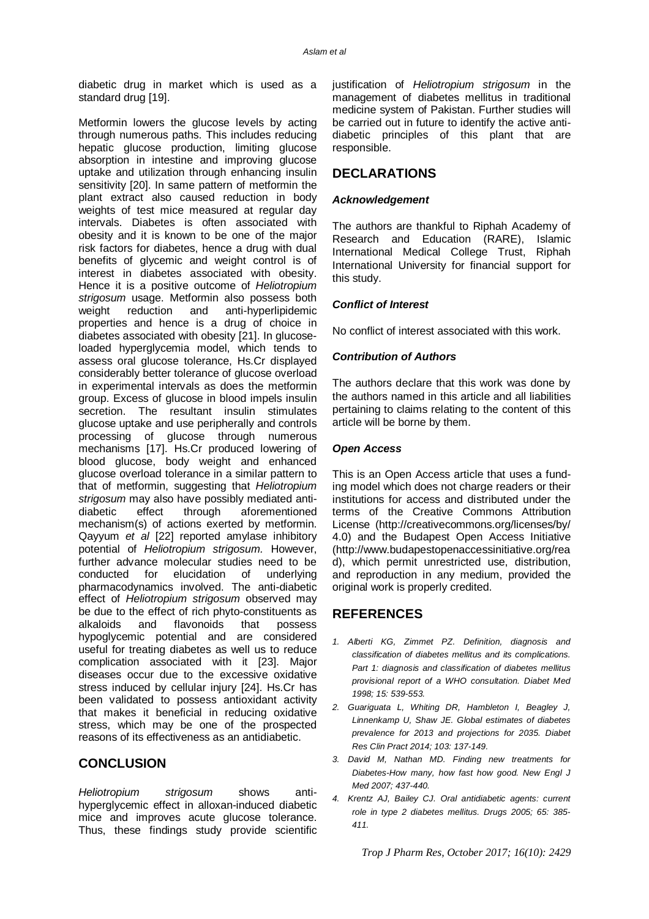diabetic drug in market which is used as a standard drug [19].

Metformin lowers the glucose levels by acting through numerous paths. This includes reducing hepatic glucose production, limiting glucose absorption in intestine and improving glucose uptake and utilization through enhancing insulin sensitivity [20]. In same pattern of metformin the plant extract also caused reduction in body weights of test mice measured at regular day intervals. Diabetes is often associated with obesity and it is known to be one of the major risk factors for diabetes, hence a drug with dual benefits of glycemic and weight control is of interest in diabetes associated with obesity. Hence it is a positive outcome of *Heliotropium strigosum* usage. Metformin also possess both weight reduction and anti-hyperlipidemic properties and hence is a drug of choice in diabetes associated with obesity [21]. In glucoseloaded hyperglycemia model, which tends to assess oral glucose tolerance, Hs.Cr displayed considerably better tolerance of glucose overload in experimental intervals as does the metformin group. Excess of glucose in blood impels insulin secretion. The resultant insulin stimulates glucose uptake and use peripherally and controls processing of glucose through numerous mechanisms [17]. Hs.Cr produced lowering of blood glucose, body weight and enhanced glucose overload tolerance in a similar pattern to that of metformin, suggesting that *Heliotropium strigosum* may also have possibly mediated antidiabetic effect through aforementioned mechanism(s) of actions exerted by metformin. Qayyum *et al* [22] reported amylase inhibitory potential of *Heliotropium strigosum.* However, further advance molecular studies need to be conducted for elucidation of underlying pharmacodynamics involved. The anti-diabetic effect of *Heliotropium strigosum* observed may be due to the effect of rich phyto-constituents as alkaloids and flavonoids that possess hypoglycemic potential and are considered useful for treating diabetes as well us to reduce complication associated with it [23]. Major diseases occur due to the excessive oxidative stress induced by cellular injury [24]. Hs.Cr has been validated to possess antioxidant activity that makes it beneficial in reducing oxidative stress, which may be one of the prospected reasons of its effectiveness as an antidiabetic.

# **CONCLUSION**

*Heliotropium strigosum* shows antihyperglycemic effect in alloxan-induced diabetic mice and improves acute glucose tolerance. Thus, these findings study provide scientific justification of *Heliotropium strigosum* in the management of diabetes mellitus in traditional medicine system of Pakistan. Further studies will be carried out in future to identify the active antidiabetic principles of this plant that are responsible.

# **DECLARATIONS**

# *Acknowledgement*

The authors are thankful to Riphah Academy of Research and Education (RARE), Islamic International Medical College Trust, Riphah International University for financial support for this study.

# *Conflict of Interest*

No conflict of interest associated with this work.

# *Contribution of Authors*

The authors declare that this work was done by the authors named in this article and all liabilities pertaining to claims relating to the content of this article will be borne by them.

# *Open Access*

This is an Open Access article that uses a funding model which does not charge readers or their institutions for access and distributed under the terms of the Creative Commons Attribution License (<http://creativecommons.org/licenses/by/> 4.0) and the Budapest Open Access Initiative [\(http://www.budapestopenaccessinitiative.org/rea](http://www.budapestopenaccessinitiative.org/rea) d), which permit unrestricted use, distribution, and reproduction in any medium, provided the original work is properly credited.

# **REFERENCES**

- *1. Alberti KG, Zimmet PZ. Definition, diagnosis and classification of diabetes mellitus and its complications. Part 1: diagnosis and classification of diabetes mellitus provisional report of a WHO consultation. Diabet Med 1998; 15: 539-553.*
- *2. Guariguata L, Whiting DR, Hambleton I, Beagley J, Linnenkamp U, Shaw JE. Global estimates of diabetes prevalence for 2013 and projections for 2035. Diabet Res Clin Pract 2014; 103: 137-149.*
- *3. David M, Nathan MD. Finding new treatments for Diabetes-How many, how fast how good. New Engl J Med 2007; 437-440.*
- *4. Krentz AJ, Bailey CJ. Oral antidiabetic agents: current role in type 2 diabetes mellitus. Drugs 2005; 65: 385- 411.*

*Trop J Pharm Res, October 2017; 16(10): 2429*